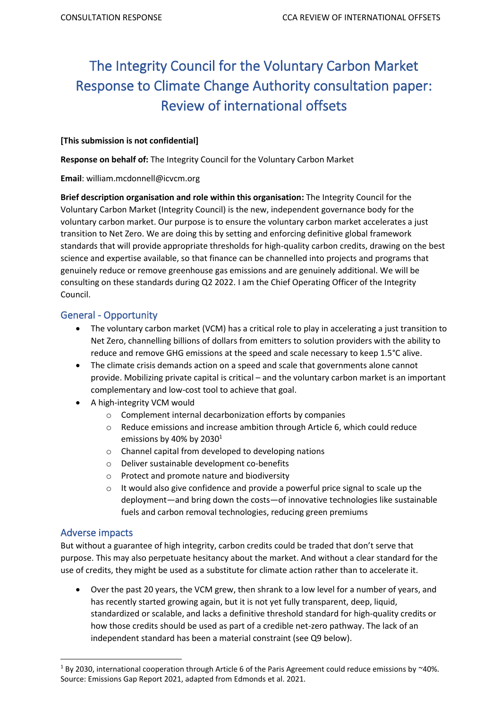# The Integrity Council for the Voluntary Carbon Market Response to Climate Change Authority consultation paper: Review of international offsets

#### **[This submission is not confidential]**

**Response on behalf of:** The Integrity Council for the Voluntary Carbon Market

**Email**: william.mcdonnell@icvcm.org

**Brief description organisation and role within this organisation:** The Integrity Council for the Voluntary Carbon Market (Integrity Council) is the new, independent governance body for the voluntary carbon market. Our purpose is to ensure the voluntary carbon market accelerates a just transition to Net Zero. We are doing this by setting and enforcing definitive global framework standards that will provide appropriate thresholds for high-quality carbon credits, drawing on the best science and expertise available, so that finance can be channelled into projects and programs that genuinely reduce or remove greenhouse gas emissions and are genuinely additional. We will be consulting on these standards during Q2 2022. I am the Chief Operating Officer of the Integrity Council.

## General - Opportunity

- The voluntary carbon market (VCM) has a critical role to play in accelerating a just transition to Net Zero, channelling billions of dollars from emitters to solution providers with the ability to reduce and remove GHG emissions at the speed and scale necessary to keep 1.5°C alive.
- The climate crisis demands action on a speed and scale that governments alone cannot provide. Mobilizing private capital is critical – and the voluntary carbon market is an important complementary and low-cost tool to achieve that goal.
- A high-integrity VCM would
	- o Complement internal decarbonization efforts by companies
	- o Reduce emissions and increase ambition through Article 6, which could reduce emissions by 40% by 2030<sup>1</sup>
	- o Channel capital from developed to developing nations
	- o Deliver sustainable development co-benefits
	- o Protect and promote nature and biodiversity
	- o It would also give confidence and provide a powerful price signal to scale up the deployment—and bring down the costs—of innovative technologies like sustainable fuels and carbon removal technologies, reducing green premiums

### Adverse impacts

But without a guarantee of high integrity, carbon credits could be traded that don't serve that purpose. This may also perpetuate hesitancy about the market. And without a clear standard for the use of credits, they might be used as a substitute for climate action rather than to accelerate it.

• Over the past 20 years, the VCM grew, then shrank to a low level for a number of years, and has recently started growing again, but it is not yet fully transparent, deep, liquid, standardized or scalable, and lacks a definitive threshold standard for high-quality credits or how those credits should be used as part of a credible net-zero pathway. The lack of an independent standard has been a material constraint (see Q9 below).

<sup>&</sup>lt;sup>1</sup> By 2030, international cooperation through Article 6 of the Paris Agreement could reduce emissions by ~40%. Source: Emissions Gap Report 2021, adapted from Edmonds et al. 2021.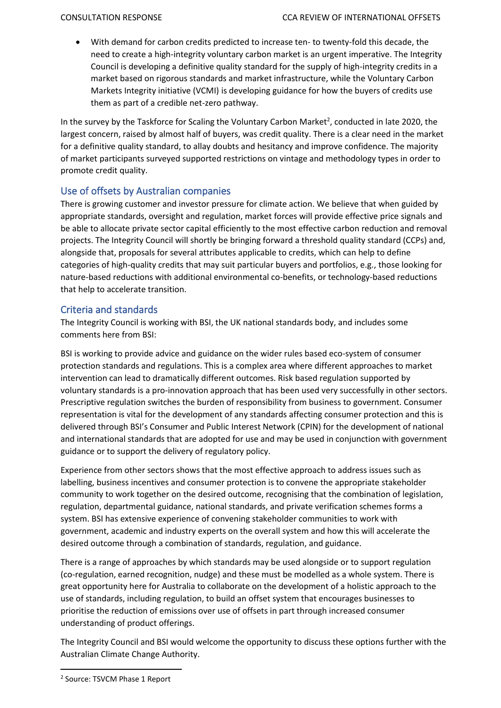• With demand for carbon credits predicted to increase ten- to twenty-fold this decade, the need to create a high-integrity voluntary carbon market is an urgent imperative. The Integrity Council is developing a definitive quality standard for the supply of high-integrity credits in a market based on rigorous standards and market infrastructure, while the Voluntary Carbon Markets Integrity initiative (VCMI) is developing guidance for how the buyers of credits use them as part of a credible net-zero pathway.

In the survey by the Taskforce for Scaling the Voluntary Carbon Market<sup>2</sup>, conducted in late 2020, the largest concern, raised by almost half of buyers, was credit quality. There is a clear need in the market for a definitive quality standard, to allay doubts and hesitancy and improve confidence. The majority of market participants surveyed supported restrictions on vintage and methodology types in order to promote credit quality.

# Use of offsets by Australian companies

There is growing customer and investor pressure for climate action. We believe that when guided by appropriate standards, oversight and regulation, market forces will provide effective price signals and be able to allocate private sector capital efficiently to the most effective carbon reduction and removal projects. The Integrity Council will shortly be bringing forward a threshold quality standard (CCPs) and, alongside that, proposals for several attributes applicable to credits, which can help to define categories of high-quality credits that may suit particular buyers and portfolios, e.g., those looking for nature-based reductions with additional environmental co-benefits, or technology-based reductions that help to accelerate transition.

## Criteria and standards

The Integrity Council is working with BSI, the UK national standards body, and includes some comments here from BSI:

BSI is working to provide advice and guidance on the wider rules based eco-system of consumer protection standards and regulations. This is a complex area where different approaches to market intervention can lead to dramatically different outcomes. Risk based regulation supported by voluntary standards is a pro-innovation approach that has been used very successfully in other sectors. Prescriptive regulation switches the burden of responsibility from business to government. Consumer representation is vital for the development of any standards affecting consumer protection and this is delivered through BSI's Consumer and Public Interest Network (CPIN) for the development of national and international standards that are adopted for use and may be used in conjunction with government guidance or to support the delivery of regulatory policy.

Experience from other sectors shows that the most effective approach to address issues such as labelling, business incentives and consumer protection is to convene the appropriate stakeholder community to work together on the desired outcome, recognising that the combination of legislation, regulation, departmental guidance, national standards, and private verification schemes forms a system. BSI has extensive experience of convening stakeholder communities to work with government, academic and industry experts on the overall system and how this will accelerate the desired outcome through a combination of standards, regulation, and guidance.

There is a range of approaches by which standards may be used alongside or to support regulation (co-regulation, earned recognition, nudge) and these must be modelled as a whole system. There is great opportunity here for Australia to collaborate on the development of a holistic approach to the use of standards, including regulation, to build an offset system that encourages businesses to prioritise the reduction of emissions over use of offsets in part through increased consumer understanding of product offerings.

The Integrity Council and BSI would welcome the opportunity to discuss these options further with the Australian Climate Change Authority.

<sup>2</sup> Source: TSVCM Phase 1 Report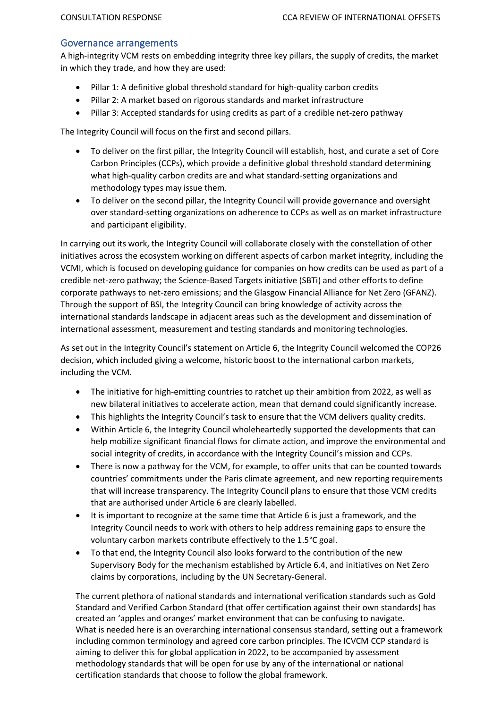#### Governance arrangements

A high-integrity VCM rests on embedding integrity three key pillars, the supply of credits, the market in which they trade, and how they are used:

- Pillar 1: A definitive global threshold standard for high-quality carbon credits
- Pillar 2: A market based on rigorous standards and market infrastructure
- Pillar 3: Accepted standards for using credits as part of a credible net-zero pathway

The Integrity Council will focus on the first and second pillars.

- To deliver on the first pillar, the Integrity Council will establish, host, and curate a set of Core Carbon Principles (CCPs), which provide a definitive global threshold standard determining what high-quality carbon credits are and what standard-setting organizations and methodology types may issue them.
- To deliver on the second pillar, the Integrity Council will provide governance and oversight over standard-setting organizations on adherence to CCPs as well as on market infrastructure and participant eligibility.

In carrying out its work, the Integrity Council will collaborate closely with the constellation of other initiatives across the ecosystem working on different aspects of carbon market integrity, including the VCMI, which is focused on developing guidance for companies on how credits can be used as part of a credible net-zero pathway; the Science-Based Targets initiative (SBTi) and other efforts to define corporate pathways to net-zero emissions; and the Glasgow Financial Alliance for Net Zero (GFANZ). Through the support of BSI, the Integrity Council can bring knowledge of activity across the international standards landscape in adjacent areas such as the development and dissemination of international assessment, measurement and testing standards and monitoring technologies.

As set out in the Integrity Council's statement on Article 6, the Integrity Council welcomed the COP26 decision, which included giving a welcome, historic boost to the international carbon markets, including the VCM.

- The initiative for high-emitting countries to ratchet up their ambition from 2022, as well as new bilateral initiatives to accelerate action, mean that demand could significantly increase.
- This highlights the Integrity Council's task to ensure that the VCM delivers quality credits.
- Within Article 6, the Integrity Council wholeheartedly supported the developments that can help mobilize significant financial flows for climate action, and improve the environmental and social integrity of credits, in accordance with the Integrity Council's mission and CCPs.
- There is now a pathway for the VCM, for example, to offer units that can be counted towards countries' commitments under the Paris climate agreement, and new reporting requirements that will increase transparency. The Integrity Council plans to ensure that those VCM credits that are authorised under Article 6 are clearly labelled.
- It is important to recognize at the same time that Article 6 is just a framework, and the Integrity Council needs to work with others to help address remaining gaps to ensure the voluntary carbon markets contribute effectively to the 1.5°C goal.
- To that end, the Integrity Council also looks forward to the contribution of the new Supervisory Body for the mechanism established by Article 6.4, and initiatives on Net Zero claims by corporations, including by the UN Secretary‐General.

The current plethora of national standards and international verification standards such as Gold Standard and Verified Carbon Standard (that offer certification against their own standards) has created an 'apples and oranges' market environment that can be confusing to navigate. What is needed here is an overarching international consensus standard, setting out a framework including common terminology and agreed core carbon principles. The ICVCM CCP standard is aiming to deliver this for global application in 2022, to be accompanied by assessment methodology standards that will be open for use by any of the international or national certification standards that choose to follow the global framework.